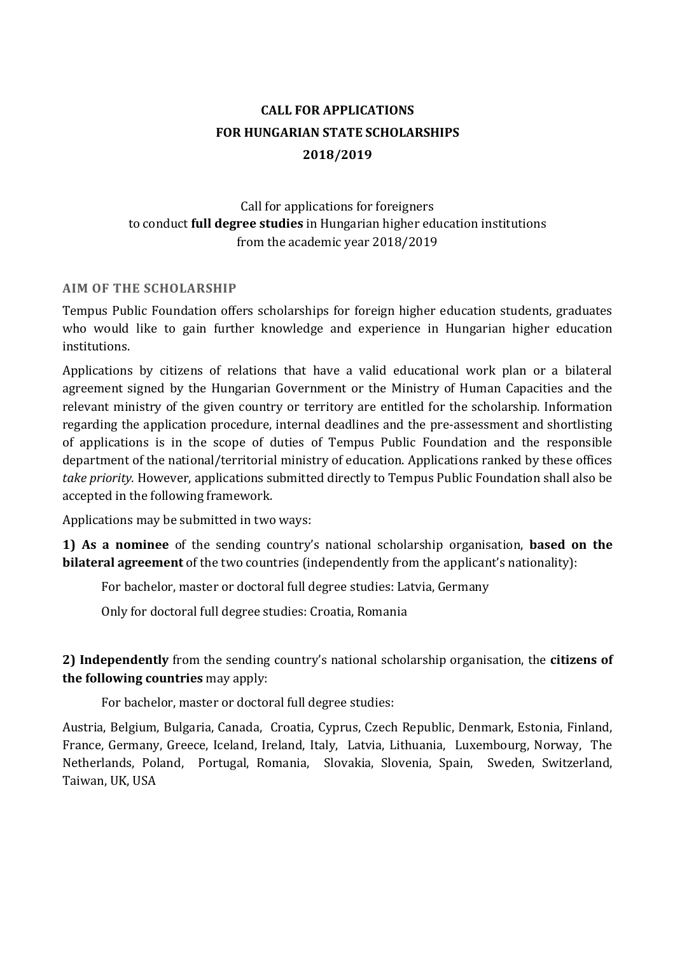# **CALL FOR APPLICATIONS FOR HUNGARIAN STATE SCHOLARSHIPS 2018/2019**

Call for applications for foreigners to conduct **full degree studies** in Hungarian higher education institutions from the academic year 2018/2019

### **AIM OF THE SCHOLARSHIP**

Tempus Public Foundation offers scholarships for foreign higher education students, graduates who would like to gain further knowledge and experience in Hungarian higher education institutions.

Applications by citizens of relations that have a valid educational work plan or a bilateral agreement signed by the Hungarian Government or the Ministry of Human Capacities and the relevant ministry of the given country or territory are entitled for the scholarship. Information regarding the application procedure, internal deadlines and the pre-assessment and shortlisting of applications is in the scope of duties of Tempus Public Foundation and the responsible department of the national/territorial ministry of education. Applications ranked by these offices *take priority.* However, applications submitted directly to Tempus Public Foundation shall also be accepted in the following framework.

Applications may be submitted in two ways:

**1) As a nominee** of the sending country's national scholarship organisation, **based on the bilateral agreement** of the two countries (independently from the applicant's nationality):

For bachelor, master or doctoral full degree studies: Latvia, Germany

Only for doctoral full degree studies: Croatia, Romania

# **2) Independently** from the sending country's national scholarship organisation, the **citizens of the following countries** may apply:

For bachelor, master or doctoral full degree studies:

Austria, Belgium, Bulgaria, Canada, Croatia, Cyprus, Czech Republic, Denmark, Estonia, Finland, France, Germany, Greece, Iceland, Ireland, Italy, Latvia, Lithuania, Luxembourg, Norway, The Netherlands, Poland, Portugal, Romania, Slovakia, Slovenia, Spain, Sweden, Switzerland, Taiwan, UK, USA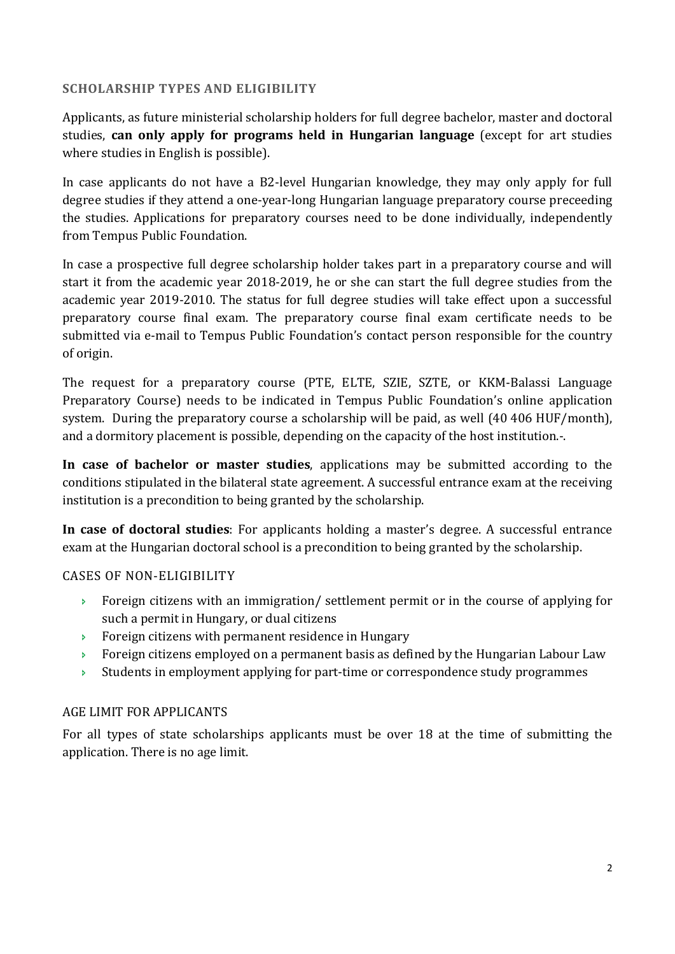## **SCHOLARSHIP TYPES AND ELIGIBILITY**

Applicants, as future ministerial scholarship holders for full degree bachelor, master and doctoral studies, **can only apply for programs held in Hungarian language** (except for art studies where studies in English is possible).

In case applicants do not have a B2-level Hungarian knowledge, they may only apply for full degree studies if they attend a one-year-long Hungarian language preparatory course preceeding the studies. Applications for preparatory courses need to be done individually, independently from Tempus Public Foundation.

In case a prospective full degree scholarship holder takes part in a preparatory course and will start it from the academic year 2018-2019, he or she can start the full degree studies from the academic year 2019-2010. The status for full degree studies will take effect upon a successful preparatory course final exam. The preparatory course final exam certificate needs to be submitted via e-mail to Tempus Public Foundation's contact person responsible for the country of origin.

The request for a preparatory course (PTE, ELTE, SZIE, SZTE, or KKM-Balassi Language Preparatory Course) needs to be indicated in Tempus Public Foundation's online application system. During the preparatory course a scholarship will be paid, as well (40 406 HUF/month), and a dormitory placement is possible, depending on the capacity of the host institution.-.

**In case of bachelor or master studies**, applications may be submitted according to the conditions stipulated in the bilateral state agreement. A successful entrance exam at the receiving institution is a precondition to being granted by the scholarship.

**In case of doctoral studies**: For applicants holding a master's degree. A successful entrance exam at the Hungarian doctoral school is a precondition to being granted by the scholarship.

## CASES OF NON-ELIGIBILITY

- Foreign citizens with an immigration/ settlement permit or in the course of applying for such a permit in Hungary, or dual citizens
- **Foreign citizens with permanent residence in Hungary**
- Foreign citizens employed on a permanent basis as defined by the Hungarian Labour Law
- $\rightarrow$  Students in employment applying for part-time or correspondence study programmes

# AGE LIMIT FOR APPLICANTS

For all types of state scholarships applicants must be over 18 at the time of submitting the application. There is no age limit.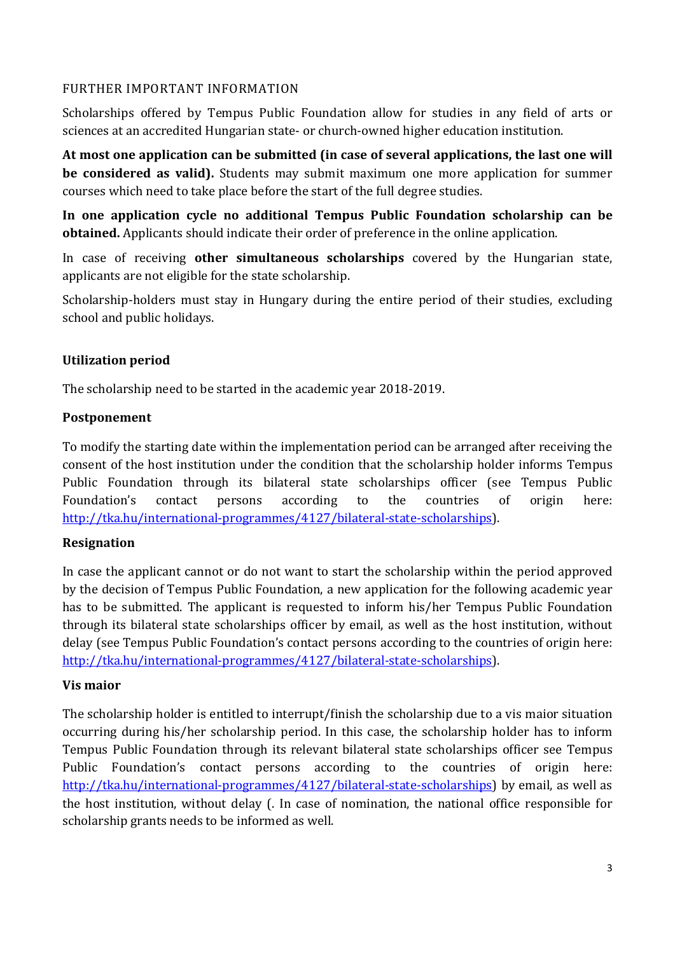## FURTHER IMPORTANT INFORMATION

Scholarships offered by Tempus Public Foundation allow for studies in any field of arts or sciences at an accredited Hungarian state- or church-owned higher education institution.

**At most one application can be submitted (in case of several applications, the last one will be considered as valid).** Students may submit maximum one more application for summer courses which need to take place before the start of the full degree studies.

**In one application cycle no additional Tempus Public Foundation scholarship can be obtained.** Applicants should indicate their order of preference in the online application.

In case of receiving **other simultaneous scholarships** covered by the Hungarian state, applicants are not eligible for the state scholarship.

Scholarship-holders must stay in Hungary during the entire period of their studies, excluding school and public holidays.

## **Utilization period**

The scholarship need to be started in the academic year 2018-2019.

## **Postponement**

To modify the starting date within the implementation period can be arranged after receiving the consent of the host institution under the condition that the scholarship holder informs Tempus Public Foundation through its bilateral state scholarships officer (see Tempus Public Foundation's contact persons according to the countries of origin here: http://tka.hu/international-programmes/4127/bilateral-state-scholarships).

# **Resignation**

In case the applicant cannot or do not want to start the scholarship within the period approved by the decision of Tempus Public Foundation, a new application for the following academic year has to be submitted. The applicant is requested to inform his/her Tempus Public Foundation through its bilateral state scholarships officer by email, as well as the host institution, without delay (see Tempus Public Foundation's contact persons according to the countries of origin here: http://tka.hu/international-programmes/4127/bilateral-state-scholarships).

## **Vis maior**

The scholarship holder is entitled to interrupt/finish the scholarship due to a vis maior situation occurring during his/her scholarship period. In this case, the scholarship holder has to inform Tempus Public Foundation through its relevant bilateral state scholarships officer see Tempus Public Foundation's contact persons according to the countries of origin here: http://tka.hu/international-programmes/4127/bilateral-state-scholarships) by email, as well as the host institution, without delay (. In case of nomination, the national office responsible for scholarship grants needs to be informed as well.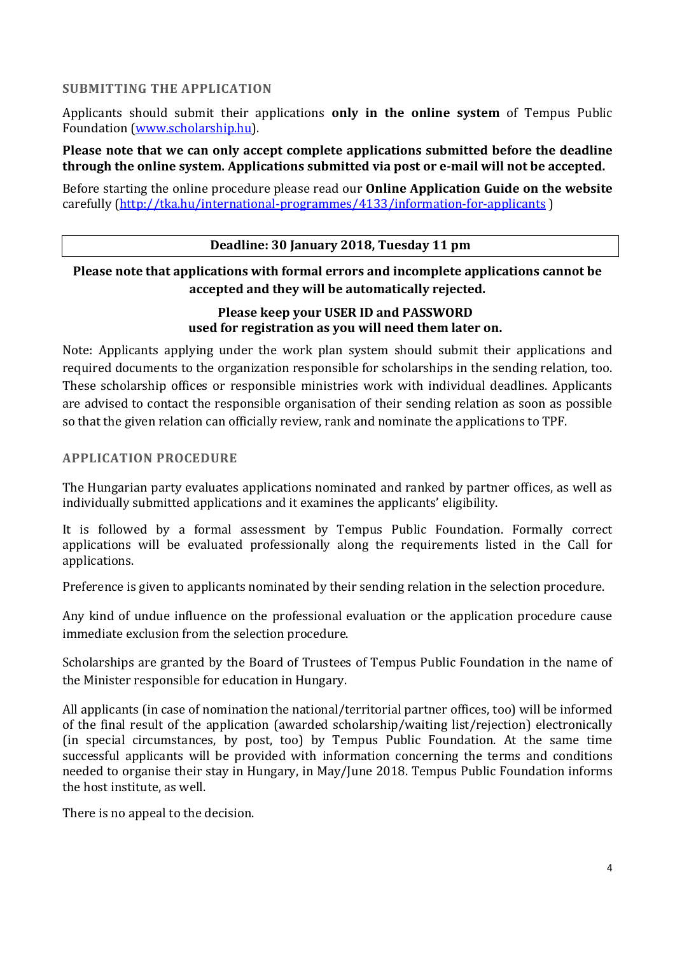## **SUBMITTING THE APPLICATION**

Applicants should submit their applications **only in the online system** of Tempus Public Foundation (www.scholarship.hu).

**Please note that we can only accept complete applications submitted before the deadline through the online system. Applications submitted via post or e-mail will not be accepted.** 

Before starting the online procedure please read our **Online Application Guide on the website** carefully (http://tka.hu/international-programmes/4133/information-for-applicants )

#### **Deadline: 30 January 2018, Tuesday 11 pm**

# **Please note that applications with formal errors and incomplete applications cannot be accepted and they will be automatically rejected.**

## **Please keep your USER ID and PASSWORD used for registration as you will need them later on.**

Note: Applicants applying under the work plan system should submit their applications and required documents to the organization responsible for scholarships in the sending relation, too. These scholarship offices or responsible ministries work with individual deadlines. Applicants are advised to contact the responsible organisation of their sending relation as soon as possible so that the given relation can officially review, rank and nominate the applications to TPF.

## **APPLICATION PROCEDURE**

The Hungarian party evaluates applications nominated and ranked by partner offices, as well as individually submitted applications and it examines the applicants' eligibility.

It is followed by a formal assessment by Tempus Public Foundation. Formally correct applications will be evaluated professionally along the requirements listed in the Call for applications.

Preference is given to applicants nominated by their sending relation in the selection procedure.

Any kind of undue influence on the professional evaluation or the application procedure cause immediate exclusion from the selection procedure.

Scholarships are granted by the Board of Trustees of Tempus Public Foundation in the name of the Minister responsible for education in Hungary.

All applicants (in case of nomination the national/territorial partner offices, too) will be informed of the final result of the application (awarded scholarship/waiting list/rejection) electronically (in special circumstances, by post, too) by Tempus Public Foundation. At the same time successful applicants will be provided with information concerning the terms and conditions needed to organise their stay in Hungary, in May/June 2018. Tempus Public Foundation informs the host institute, as well.

There is no appeal to the decision.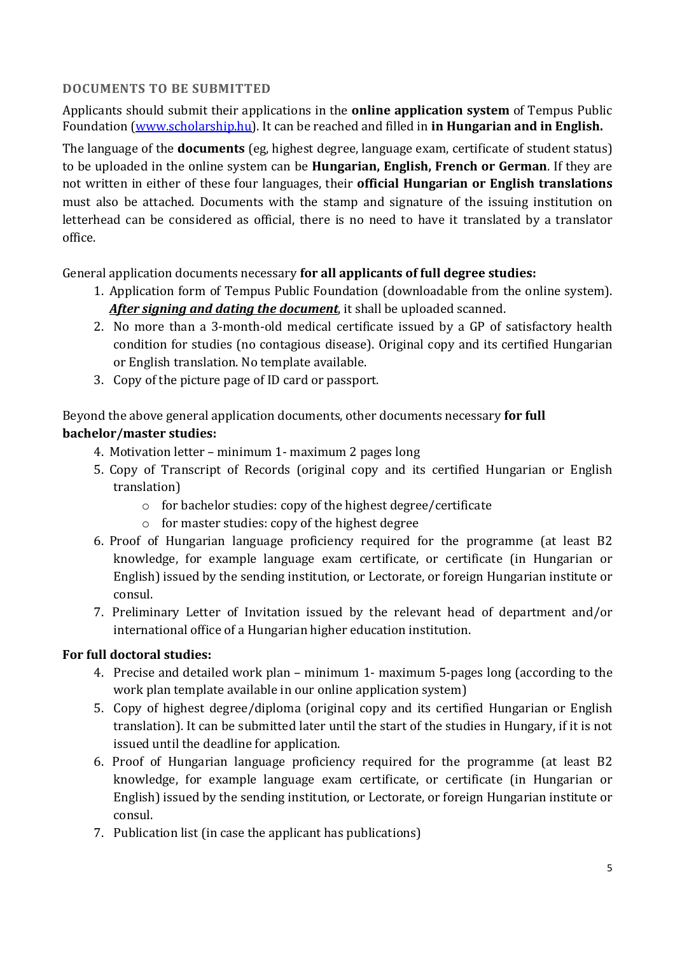## **DOCUMENTS TO BE SUBMITTED**

Applicants should submit their applications in the **online application system** of Tempus Public Foundation (www.scholarship.hu). It can be reached and filled in **in Hungarian and in English.** 

The language of the **documents** (eg, highest degree, language exam, certificate of student status) to be uploaded in the online system can be **Hungarian, English, French or German**. If they are not written in either of these four languages, their **official Hungarian or English translations** must also be attached. Documents with the stamp and signature of the issuing institution on letterhead can be considered as official, there is no need to have it translated by a translator office.

General application documents necessary **for all applicants of full degree studies:**

- 1. Application form of Tempus Public Foundation (downloadable from the online system). *After signing and dating the document*, it shall be uploaded scanned.
- 2. No more than a 3-month-old medical certificate issued by a GP of satisfactory health condition for studies (no contagious disease). Original copy and its certified Hungarian or English translation. No template available.
- 3. Copy of the picture page of ID card or passport.

# Beyond the above general application documents, other documents necessary **for full bachelor/master studies:**

- 4. Motivation letter minimum 1- maximum 2 pages long
- 5. Copy of Transcript of Records (original copy and its certified Hungarian or English translation)
	- o for bachelor studies: copy of the highest degree/certificate
	- o for master studies: copy of the highest degree
- 6. Proof of Hungarian language proficiency required for the programme (at least B2 knowledge, for example language exam certificate, or certificate (in Hungarian or English) issued by the sending institution, or Lectorate, or foreign Hungarian institute or consul.
- 7. Preliminary Letter of Invitation issued by the relevant head of department and/or international office of a Hungarian higher education institution.

# **For full doctoral studies:**

- 4. Precise and detailed work plan minimum 1- maximum 5-pages long (according to the work plan template available in our online application system)
- 5. Copy of highest degree/diploma (original copy and its certified Hungarian or English translation). It can be submitted later until the start of the studies in Hungary, if it is not issued until the deadline for application.
- 6. Proof of Hungarian language proficiency required for the programme (at least B2 knowledge, for example language exam certificate, or certificate (in Hungarian or English) issued by the sending institution, or Lectorate, or foreign Hungarian institute or consul.
- 7. Publication list (in case the applicant has publications)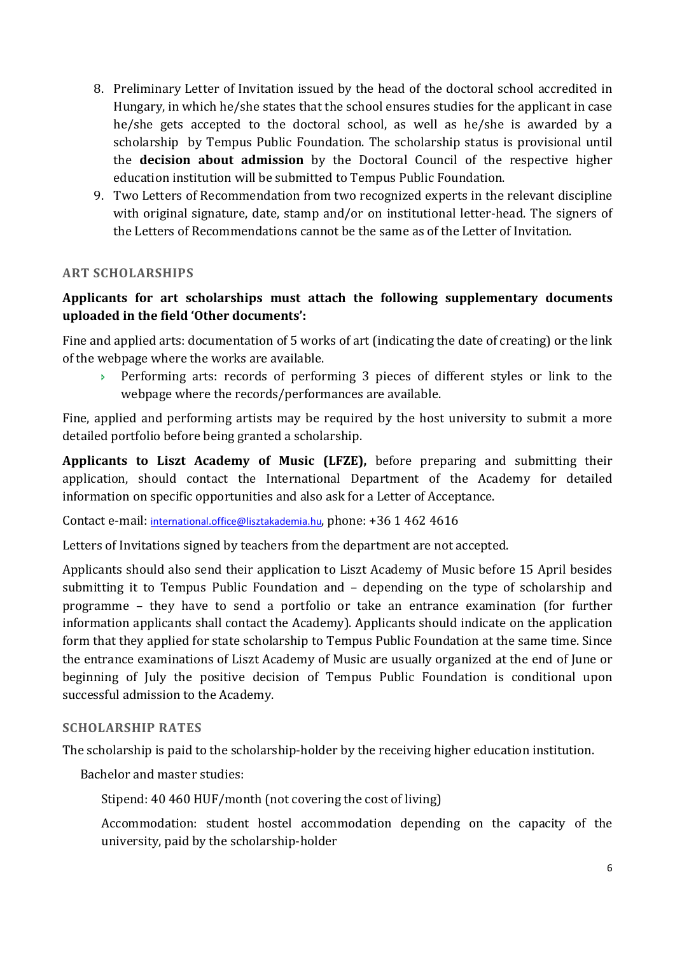- 8. Preliminary Letter of Invitation issued by the head of the doctoral school accredited in Hungary, in which he/she states that the school ensures studies for the applicant in case he/she gets accepted to the doctoral school, as well as he/she is awarded by a scholarship by Tempus Public Foundation. The scholarship status is provisional until the **decision about admission** by the Doctoral Council of the respective higher education institution will be submitted to Tempus Public Foundation.
- 9. Two Letters of Recommendation from two recognized experts in the relevant discipline with original signature, date, stamp and/or on institutional letter-head. The signers of the Letters of Recommendations cannot be the same as of the Letter of Invitation.

## **ART SCHOLARSHIPS**

# **Applicants for art scholarships must attach the following supplementary documents uploaded in the field 'Other documents':**

Fine and applied arts: documentation of 5 works of art (indicating the date of creating) or the link of the webpage where the works are available.

 Performing arts: records of performing 3 pieces of different styles or link to the webpage where the records/performances are available.

Fine, applied and performing artists may be required by the host university to submit a more detailed portfolio before being granted a scholarship.

**Applicants to Liszt Academy of Music (LFZE),** before preparing and submitting their application, should contact the International Department of the Academy for detailed information on specific opportunities and also ask for a Letter of Acceptance.

Contact e-mail: international.office@lisztakademia.hu, phone: +36 1 462 4616

Letters of Invitations signed by teachers from the department are not accepted.

Applicants should also send their application to Liszt Academy of Music before 15 April besides submitting it to Tempus Public Foundation and – depending on the type of scholarship and programme – they have to send a portfolio or take an entrance examination (for further information applicants shall contact the Academy). Applicants should indicate on the application form that they applied for state scholarship to Tempus Public Foundation at the same time. Since the entrance examinations of Liszt Academy of Music are usually organized at the end of June or beginning of July the positive decision of Tempus Public Foundation is conditional upon successful admission to the Academy.

## **SCHOLARSHIP RATES**

The scholarship is paid to the scholarship-holder by the receiving higher education institution.

Bachelor and master studies:

Stipend: 40 460 HUF/month (not covering the cost of living)

Accommodation: student hostel accommodation depending on the capacity of the university, paid by the scholarship-holder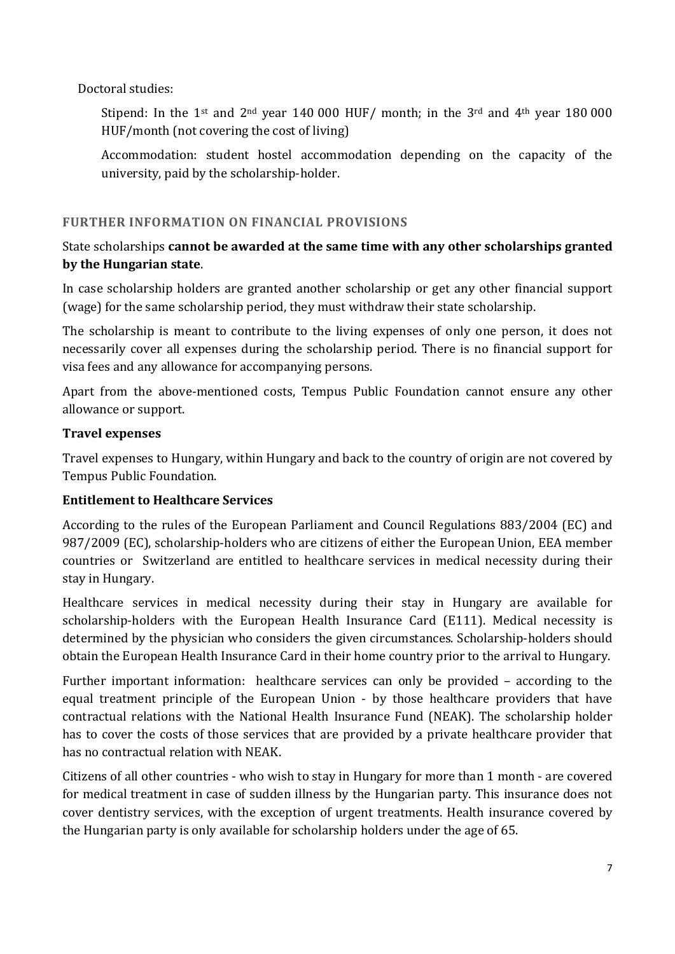Doctoral studies:

Stipend: In the 1<sup>st</sup> and 2<sup>nd</sup> year 140 000 HUF/ month; in the 3<sup>rd</sup> and 4<sup>th</sup> year 180 000 HUF/month (not covering the cost of living)

Accommodation: student hostel accommodation depending on the capacity of the university, paid by the scholarship-holder.

## **FURTHER INFORMATION ON FINANCIAL PROVISIONS**

# State scholarships **cannot be awarded at the same time with any other scholarships granted by the Hungarian state**.

In case scholarship holders are granted another scholarship or get any other financial support (wage) for the same scholarship period, they must withdraw their state scholarship.

The scholarship is meant to contribute to the living expenses of only one person, it does not necessarily cover all expenses during the scholarship period. There is no financial support for visa fees and any allowance for accompanying persons.

Apart from the above-mentioned costs, Tempus Public Foundation cannot ensure any other allowance or support.

## **Travel expenses**

Travel expenses to Hungary, within Hungary and back to the country of origin are not covered by Tempus Public Foundation.

# **Entitlement to Healthcare Services**

According to the rules of the European Parliament and Council Regulations 883/2004 (EC) and 987/2009 (EC), scholarship-holders who are citizens of either the European Union, EEA member countries or Switzerland are entitled to healthcare services in medical necessity during their stay in Hungary.

Healthcare services in medical necessity during their stay in Hungary are available for scholarship-holders with the European Health Insurance Card (E111). Medical necessity is determined by the physician who considers the given circumstances. Scholarship-holders should obtain the European Health Insurance Card in their home country prior to the arrival to Hungary.

Further important information: healthcare services can only be provided – according to the equal treatment principle of the European Union - by those healthcare providers that have contractual relations with the National Health Insurance Fund (NEAK). The scholarship holder has to cover the costs of those services that are provided by a private healthcare provider that has no contractual relation with NEAK.

Citizens of all other countries - who wish to stay in Hungary for more than 1 month - are covered for medical treatment in case of sudden illness by the Hungarian party. This insurance does not cover dentistry services, with the exception of urgent treatments. Health insurance covered by the Hungarian party is only available for scholarship holders under the age of 65.